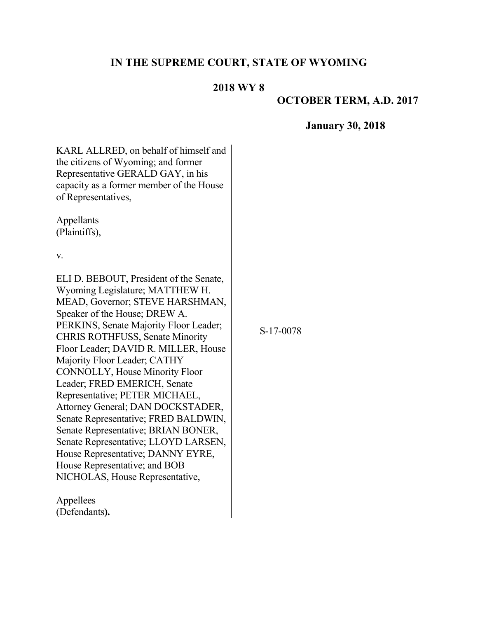## **IN THE SUPREME COURT, STATE OF WYOMING**

### **2018 WY 8**

### **OCTOBER TERM, A.D. 2017**

#### **January 30, 2018**

KARL ALLRED, on behalf of himself and the citizens of Wyoming; and former Representative GERALD GAY, in his capacity as a former member of the House of Representatives,

Appellants (Plaintiffs),

v.

ELI D. BEBOUT, President of the Senate, Wyoming Legislature; MATTHEW H. MEAD, Governor; STEVE HARSHMAN, Speaker of the House; DREW A. PERKINS, Senate Majority Floor Leader; CHRIS ROTHFUSS, Senate Minority Floor Leader; DAVID R. MILLER, House Majority Floor Leader; CATHY CONNOLLY, House Minority Floor Leader; FRED EMERICH, Senate Representative; PETER MICHAEL, Attorney General; DAN DOCKSTADER, Senate Representative; FRED BALDWIN, Senate Representative; BRIAN BONER, Senate Representative; LLOYD LARSEN, House Representative; DANNY EYRE, House Representative; and BOB NICHOLAS, House Representative,

Appellees (Defendants**).** S-17-0078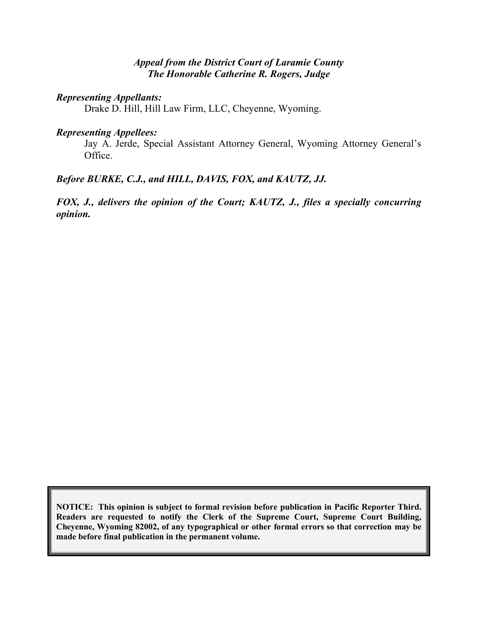#### *Appeal from the District Court of Laramie County The Honorable Catherine R. Rogers, Judge*

#### *Representing Appellants:*

Drake D. Hill, Hill Law Firm, LLC, Cheyenne, Wyoming.

#### *Representing Appellees:*

Jay A. Jerde, Special Assistant Attorney General, Wyoming Attorney General's Office.

### *Before BURKE, C.J., and HILL, DAVIS, FOX, and KAUTZ, JJ.*

*FOX, J., delivers the opinion of the Court; KAUTZ, J., files a specially concurring opinion.*

**NOTICE: This opinion is subject to formal revision before publication in Pacific Reporter Third. Readers are requested to notify the Clerk of the Supreme Court, Supreme Court Building, Cheyenne, Wyoming 82002, of any typographical or other formal errors so that correction may be made before final publication in the permanent volume.**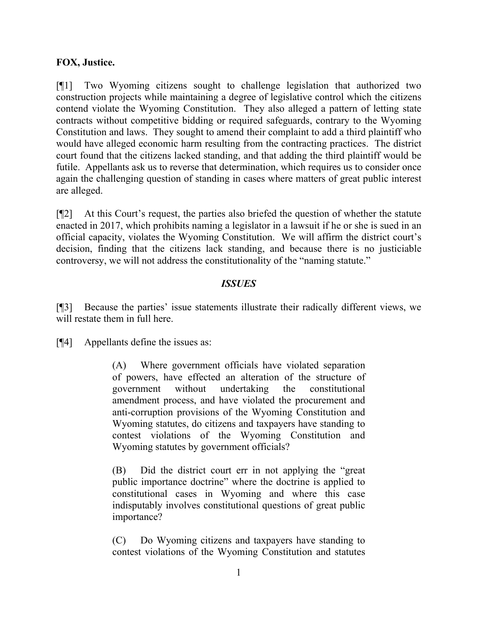### **FOX, Justice.**

[¶1] Two Wyoming citizens sought to challenge legislation that authorized two construction projects while maintaining a degree of legislative control which the citizens contend violate the Wyoming Constitution. They also alleged a pattern of letting state contracts without competitive bidding or required safeguards, contrary to the Wyoming Constitution and laws. They sought to amend their complaint to add a third plaintiff who would have alleged economic harm resulting from the contracting practices. The district court found that the citizens lacked standing, and that adding the third plaintiff would be futile. Appellants ask us to reverse that determination, which requires us to consider once again the challenging question of standing in cases where matters of great public interest are alleged.

[¶2] At this Court's request, the parties also briefed the question of whether the statute enacted in 2017, which prohibits naming a legislator in a lawsuit if he or she is sued in an official capacity, violates the Wyoming Constitution. We will affirm the district court's decision, finding that the citizens lack standing, and because there is no justiciable controversy, we will not address the constitutionality of the "naming statute."

#### *ISSUES*

[¶3] Because the parties' issue statements illustrate their radically different views, we will restate them in full here.

[¶4] Appellants define the issues as:

(A) Where government officials have violated separation of powers, have effected an alteration of the structure of government without undertaking the constitutional amendment process, and have violated the procurement and anti-corruption provisions of the Wyoming Constitution and Wyoming statutes, do citizens and taxpayers have standing to contest violations of the Wyoming Constitution and Wyoming statutes by government officials?

(B) Did the district court err in not applying the "great public importance doctrine" where the doctrine is applied to constitutional cases in Wyoming and where this case indisputably involves constitutional questions of great public importance?

(C) Do Wyoming citizens and taxpayers have standing to contest violations of the Wyoming Constitution and statutes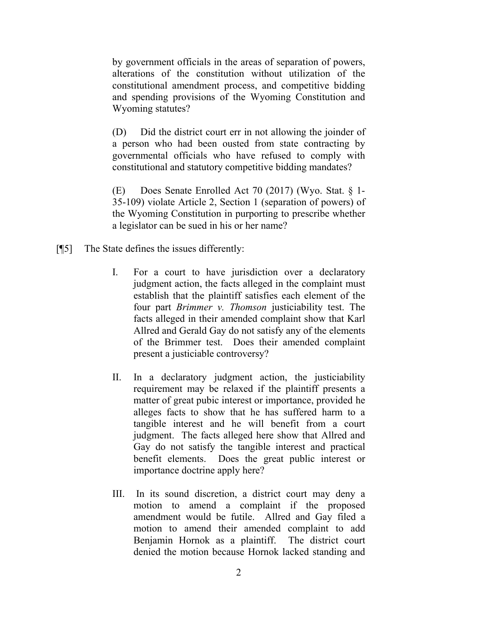by government officials in the areas of separation of powers, alterations of the constitution without utilization of the constitutional amendment process, and competitive bidding and spending provisions of the Wyoming Constitution and Wyoming statutes?

(D) Did the district court err in not allowing the joinder of a person who had been ousted from state contracting by governmental officials who have refused to comply with constitutional and statutory competitive bidding mandates?

(E) Does Senate Enrolled Act 70 (2017) (Wyo. Stat. § 1- 35-109) violate Article 2, Section 1 (separation of powers) of the Wyoming Constitution in purporting to prescribe whether a legislator can be sued in his or her name?

- [¶5] The State defines the issues differently:
	- I. For a court to have jurisdiction over a declaratory judgment action, the facts alleged in the complaint must establish that the plaintiff satisfies each element of the four part *Brimmer v. Thomson* justiciability test. The facts alleged in their amended complaint show that Karl Allred and Gerald Gay do not satisfy any of the elements of the Brimmer test. Does their amended complaint present a justiciable controversy?
	- II. In a declaratory judgment action, the justiciability requirement may be relaxed if the plaintiff presents a matter of great pubic interest or importance, provided he alleges facts to show that he has suffered harm to a tangible interest and he will benefit from a court judgment. The facts alleged here show that Allred and Gay do not satisfy the tangible interest and practical benefit elements. Does the great public interest or importance doctrine apply here?
	- III. In its sound discretion, a district court may deny a motion to amend a complaint if the proposed amendment would be futile. Allred and Gay filed a motion to amend their amended complaint to add Benjamin Hornok as a plaintiff. The district court denied the motion because Hornok lacked standing and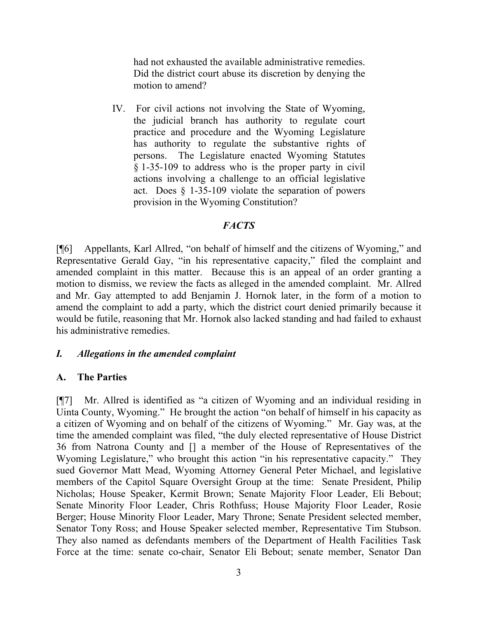had not exhausted the available administrative remedies. Did the district court abuse its discretion by denying the motion to amend?

IV. For civil actions not involving the State of Wyoming, the judicial branch has authority to regulate court practice and procedure and the Wyoming Legislature has authority to regulate the substantive rights of persons. The Legislature enacted Wyoming Statutes § 1-35-109 to address who is the proper party in civil actions involving a challenge to an official legislative act. Does § 1-35-109 violate the separation of powers provision in the Wyoming Constitution?

#### *FACTS*

[¶6] Appellants, Karl Allred, "on behalf of himself and the citizens of Wyoming," and Representative Gerald Gay, "in his representative capacity," filed the complaint and amended complaint in this matter. Because this is an appeal of an order granting a motion to dismiss, we review the facts as alleged in the amended complaint. Mr. Allred and Mr. Gay attempted to add Benjamin J. Hornok later, in the form of a motion to amend the complaint to add a party, which the district court denied primarily because it would be futile, reasoning that Mr. Hornok also lacked standing and had failed to exhaust his administrative remedies.

#### *I. Allegations in the amended complaint*

#### **A. The Parties**

[¶7] Mr. Allred is identified as "a citizen of Wyoming and an individual residing in Uinta County, Wyoming." He brought the action "on behalf of himself in his capacity as a citizen of Wyoming and on behalf of the citizens of Wyoming." Mr. Gay was, at the time the amended complaint was filed, "the duly elected representative of House District 36 from Natrona County and [] a member of the House of Representatives of the Wyoming Legislature," who brought this action "in his representative capacity." They sued Governor Matt Mead, Wyoming Attorney General Peter Michael, and legislative members of the Capitol Square Oversight Group at the time: Senate President, Philip Nicholas; House Speaker, Kermit Brown; Senate Majority Floor Leader, Eli Bebout; Senate Minority Floor Leader, Chris Rothfuss; House Majority Floor Leader, Rosie Berger; House Minority Floor Leader, Mary Throne; Senate President selected member, Senator Tony Ross; and House Speaker selected member, Representative Tim Stubson. They also named as defendants members of the Department of Health Facilities Task Force at the time: senate co-chair, Senator Eli Bebout; senate member, Senator Dan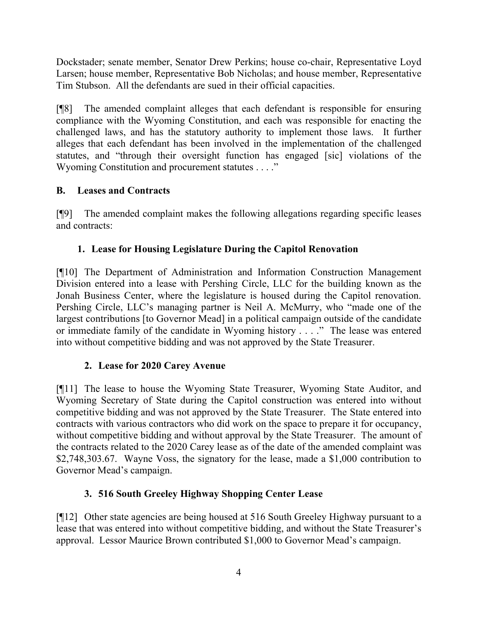Dockstader; senate member, Senator Drew Perkins; house co-chair, Representative Loyd Larsen; house member, Representative Bob Nicholas; and house member, Representative Tim Stubson. All the defendants are sued in their official capacities.

[¶8] The amended complaint alleges that each defendant is responsible for ensuring compliance with the Wyoming Constitution, and each was responsible for enacting the challenged laws, and has the statutory authority to implement those laws. It further alleges that each defendant has been involved in the implementation of the challenged statutes, and "through their oversight function has engaged [sic] violations of the Wyoming Constitution and procurement statutes . . . ."

# **B. Leases and Contracts**

[¶9] The amended complaint makes the following allegations regarding specific leases and contracts:

# **1. Lease for Housing Legislature During the Capitol Renovation**

[¶10] The Department of Administration and Information Construction Management Division entered into a lease with Pershing Circle, LLC for the building known as the Jonah Business Center, where the legislature is housed during the Capitol renovation. Pershing Circle, LLC's managing partner is Neil A. McMurry, who "made one of the largest contributions [to Governor Mead] in a political campaign outside of the candidate or immediate family of the candidate in Wyoming history . . . ." The lease was entered into without competitive bidding and was not approved by the State Treasurer.

# **2. Lease for 2020 Carey Avenue**

[¶11] The lease to house the Wyoming State Treasurer, Wyoming State Auditor, and Wyoming Secretary of State during the Capitol construction was entered into without competitive bidding and was not approved by the State Treasurer. The State entered into contracts with various contractors who did work on the space to prepare it for occupancy, without competitive bidding and without approval by the State Treasurer. The amount of the contracts related to the 2020 Carey lease as of the date of the amended complaint was \$2,748,303.67. Wayne Voss, the signatory for the lease, made a \$1,000 contribution to Governor Mead's campaign.

# **3. 516 South Greeley Highway Shopping Center Lease**

[¶12] Other state agencies are being housed at 516 South Greeley Highway pursuant to a lease that was entered into without competitive bidding, and without the State Treasurer's approval. Lessor Maurice Brown contributed \$1,000 to Governor Mead's campaign.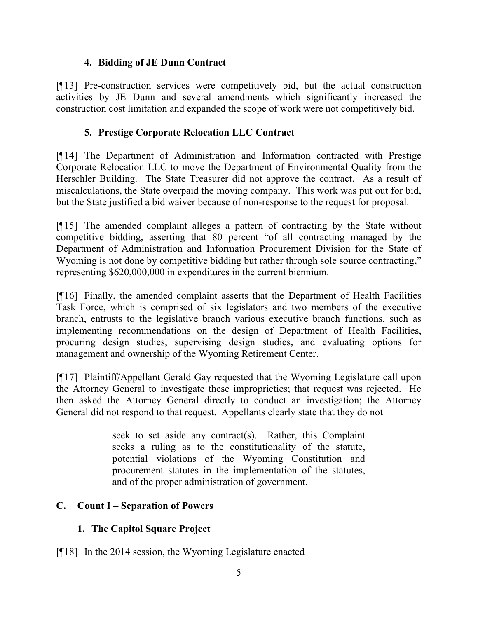## **4. Bidding of JE Dunn Contract**

[¶13] Pre-construction services were competitively bid, but the actual construction activities by JE Dunn and several amendments which significantly increased the construction cost limitation and expanded the scope of work were not competitively bid.

### **5. Prestige Corporate Relocation LLC Contract**

[¶14] The Department of Administration and Information contracted with Prestige Corporate Relocation LLC to move the Department of Environmental Quality from the Herschler Building. The State Treasurer did not approve the contract. As a result of miscalculations, the State overpaid the moving company. This work was put out for bid, but the State justified a bid waiver because of non-response to the request for proposal.

[¶15] The amended complaint alleges a pattern of contracting by the State without competitive bidding, asserting that 80 percent "of all contracting managed by the Department of Administration and Information Procurement Division for the State of Wyoming is not done by competitive bidding but rather through sole source contracting," representing \$620,000,000 in expenditures in the current biennium.

[¶16] Finally, the amended complaint asserts that the Department of Health Facilities Task Force, which is comprised of six legislators and two members of the executive branch, entrusts to the legislative branch various executive branch functions, such as implementing recommendations on the design of Department of Health Facilities, procuring design studies, supervising design studies, and evaluating options for management and ownership of the Wyoming Retirement Center.

[¶17] Plaintiff/Appellant Gerald Gay requested that the Wyoming Legislature call upon the Attorney General to investigate these improprieties; that request was rejected. He then asked the Attorney General directly to conduct an investigation; the Attorney General did not respond to that request. Appellants clearly state that they do not

> seek to set aside any contract(s). Rather, this Complaint seeks a ruling as to the constitutionality of the statute, potential violations of the Wyoming Constitution and procurement statutes in the implementation of the statutes, and of the proper administration of government.

# **C. Count I – Separation of Powers**

# **1. The Capitol Square Project**

[¶18] In the 2014 session, the Wyoming Legislature enacted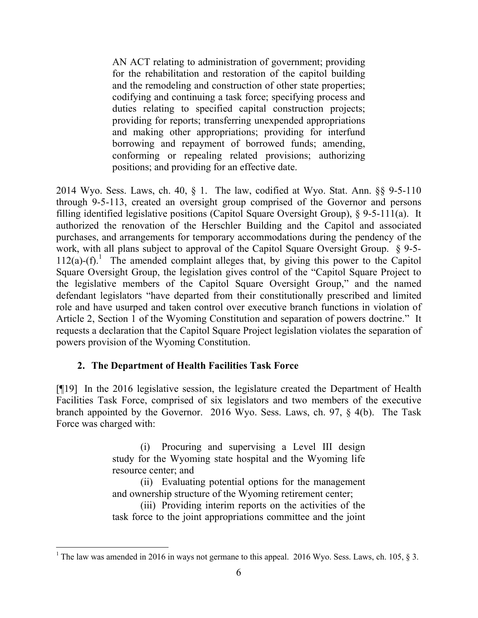AN ACT relating to administration of government; providing for the rehabilitation and restoration of the capitol building and the remodeling and construction of other state properties; codifying and continuing a task force; specifying process and duties relating to specified capital construction projects; providing for reports; transferring unexpended appropriations and making other appropriations; providing for interfund borrowing and repayment of borrowed funds; amending, conforming or repealing related provisions; authorizing positions; and providing for an effective date.

2014 Wyo. Sess. Laws, ch. 40, § 1. The law, codified at Wyo. Stat. Ann. §§ 9-5-110 through 9-5-113, created an oversight group comprised of the Governor and persons filling identified legislative positions (Capitol Square Oversight Group), § 9-5-111(a). It authorized the renovation of the Herschler Building and the Capitol and associated purchases, and arrangements for temporary accommodations during the pendency of the work, with all plans subject to approval of the Capitol Square Oversight Group. § 9-5-  $112(a)-(f)$ .<sup>1</sup> The amended complaint alleges that, by giving this power to the Capitol Square Oversight Group, the legislation gives control of the "Capitol Square Project to the legislative members of the Capitol Square Oversight Group," and the named defendant legislators "have departed from their constitutionally prescribed and limited role and have usurped and taken control over executive branch functions in violation of Article 2, Section 1 of the Wyoming Constitution and separation of powers doctrine." It requests a declaration that the Capitol Square Project legislation violates the separation of powers provision of the Wyoming Constitution.

# **2. The Department of Health Facilities Task Force**

[¶19] In the 2016 legislative session, the legislature created the Department of Health Facilities Task Force, comprised of six legislators and two members of the executive branch appointed by the Governor. 2016 Wyo. Sess. Laws, ch. 97, § 4(b). The Task Force was charged with:

> (i) Procuring and supervising a Level III design study for the Wyoming state hospital and the Wyoming life resource center; and

> (ii) Evaluating potential options for the management and ownership structure of the Wyoming retirement center;

> (iii) Providing interim reports on the activities of the task force to the joint appropriations committee and the joint

 <sup>1</sup> The law was amended in 2016 in ways not germane to this appeal. 2016 Wyo. Sess. Laws, ch. 105,  $\S$  3.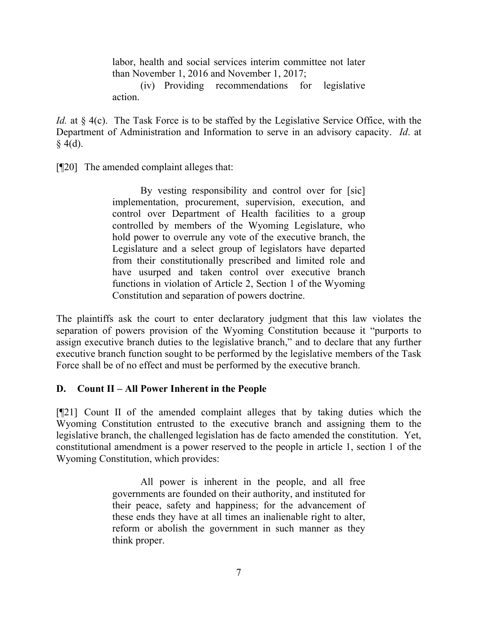labor, health and social services interim committee not later than November 1, 2016 and November 1, 2017;

(iv) Providing recommendations for legislative action.

*Id.* at § 4(c). The Task Force is to be staffed by the Legislative Service Office, with the Department of Administration and Information to serve in an advisory capacity. *Id*. at  $§$  4(d).

[¶20] The amended complaint alleges that:

By vesting responsibility and control over for [sic] implementation, procurement, supervision, execution, and control over Department of Health facilities to a group controlled by members of the Wyoming Legislature, who hold power to overrule any vote of the executive branch, the Legislature and a select group of legislators have departed from their constitutionally prescribed and limited role and have usurped and taken control over executive branch functions in violation of Article 2, Section 1 of the Wyoming Constitution and separation of powers doctrine.

The plaintiffs ask the court to enter declaratory judgment that this law violates the separation of powers provision of the Wyoming Constitution because it "purports to assign executive branch duties to the legislative branch," and to declare that any further executive branch function sought to be performed by the legislative members of the Task Force shall be of no effect and must be performed by the executive branch.

### **D. Count II – All Power Inherent in the People**

[¶21] Count II of the amended complaint alleges that by taking duties which the Wyoming Constitution entrusted to the executive branch and assigning them to the legislative branch, the challenged legislation has de facto amended the constitution. Yet, constitutional amendment is a power reserved to the people in article 1, section 1 of the Wyoming Constitution, which provides:

> All power is inherent in the people, and all free governments are founded on their authority, and instituted for their peace, safety and happiness; for the advancement of these ends they have at all times an inalienable right to alter, reform or abolish the government in such manner as they think proper.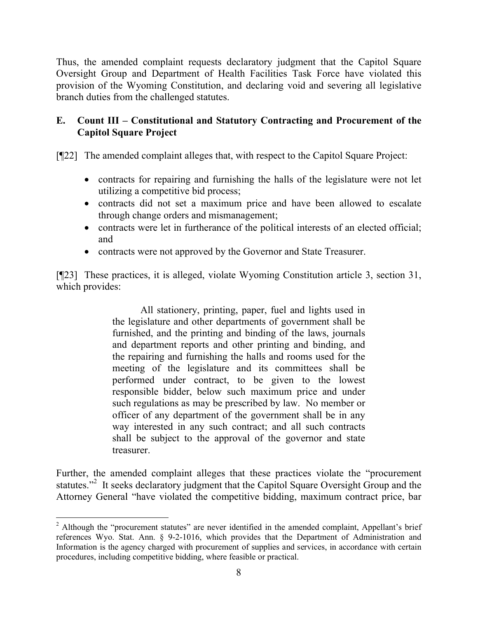Thus, the amended complaint requests declaratory judgment that the Capitol Square Oversight Group and Department of Health Facilities Task Force have violated this provision of the Wyoming Constitution, and declaring void and severing all legislative branch duties from the challenged statutes.

## **E. Count III – Constitutional and Statutory Contracting and Procurement of the Capitol Square Project**

[¶22] The amended complaint alleges that, with respect to the Capitol Square Project:

- contracts for repairing and furnishing the halls of the legislature were not let utilizing a competitive bid process;
- contracts did not set a maximum price and have been allowed to escalate through change orders and mismanagement;
- contracts were let in furtherance of the political interests of an elected official; and
- contracts were not approved by the Governor and State Treasurer.

[¶23] These practices, it is alleged, violate Wyoming Constitution article 3, section 31, which provides:

> All stationery, printing, paper, fuel and lights used in the legislature and other departments of government shall be furnished, and the printing and binding of the laws, journals and department reports and other printing and binding, and the repairing and furnishing the halls and rooms used for the meeting of the legislature and its committees shall be performed under contract, to be given to the lowest responsible bidder, below such maximum price and under such regulations as may be prescribed by law. No member or officer of any department of the government shall be in any way interested in any such contract; and all such contracts shall be subject to the approval of the governor and state treasurer.

Further, the amended complaint alleges that these practices violate the "procurement statutes."<sup>2</sup> It seeks declaratory judgment that the Capitol Square Oversight Group and the Attorney General "have violated the competitive bidding, maximum contract price, bar

<sup>&</sup>lt;sup>2</sup> Although the "procurement statutes" are never identified in the amended complaint, Appellant's brief references Wyo. Stat. Ann. § 9-2-1016, which provides that the Department of Administration and Information is the agency charged with procurement of supplies and services, in accordance with certain procedures, including competitive bidding, where feasible or practical.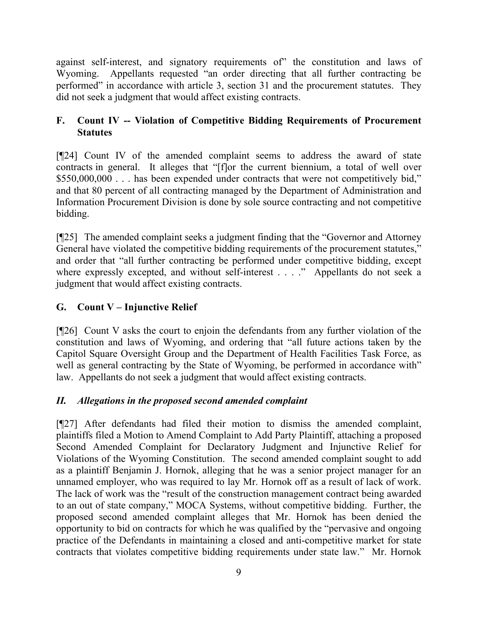against self-interest, and signatory requirements of" the constitution and laws of Wyoming. Appellants requested "an order directing that all further contracting be performed" in accordance with article 3, section 31 and the procurement statutes. They did not seek a judgment that would affect existing contracts.

# **F. Count IV -- Violation of Competitive Bidding Requirements of Procurement Statutes**

[¶24] Count IV of the amended complaint seems to address the award of state contracts in general. It alleges that "[f]or the current biennium, a total of well over \$550,000,000 . . . has been expended under contracts that were not competitively bid," and that 80 percent of all contracting managed by the Department of Administration and Information Procurement Division is done by sole source contracting and not competitive bidding.

[¶25] The amended complaint seeks a judgment finding that the "Governor and Attorney General have violated the competitive bidding requirements of the procurement statutes," and order that "all further contracting be performed under competitive bidding, except where expressly excepted, and without self-interest . . . ." Appellants do not seek a judgment that would affect existing contracts.

# **G. Count V – Injunctive Relief**

[¶26] Count V asks the court to enjoin the defendants from any further violation of the constitution and laws of Wyoming, and ordering that "all future actions taken by the Capitol Square Oversight Group and the Department of Health Facilities Task Force, as well as general contracting by the State of Wyoming, be performed in accordance with" law. Appellants do not seek a judgment that would affect existing contracts.

# *II. Allegations in the proposed second amended complaint*

[¶27] After defendants had filed their motion to dismiss the amended complaint, plaintiffs filed a Motion to Amend Complaint to Add Party Plaintiff, attaching a proposed Second Amended Complaint for Declaratory Judgment and Injunctive Relief for Violations of the Wyoming Constitution. The second amended complaint sought to add as a plaintiff Benjamin J. Hornok, alleging that he was a senior project manager for an unnamed employer, who was required to lay Mr. Hornok off as a result of lack of work. The lack of work was the "result of the construction management contract being awarded to an out of state company," MOCA Systems, without competitive bidding. Further, the proposed second amended complaint alleges that Mr. Hornok has been denied the opportunity to bid on contracts for which he was qualified by the "pervasive and ongoing practice of the Defendants in maintaining a closed and anti-competitive market for state contracts that violates competitive bidding requirements under state law." Mr. Hornok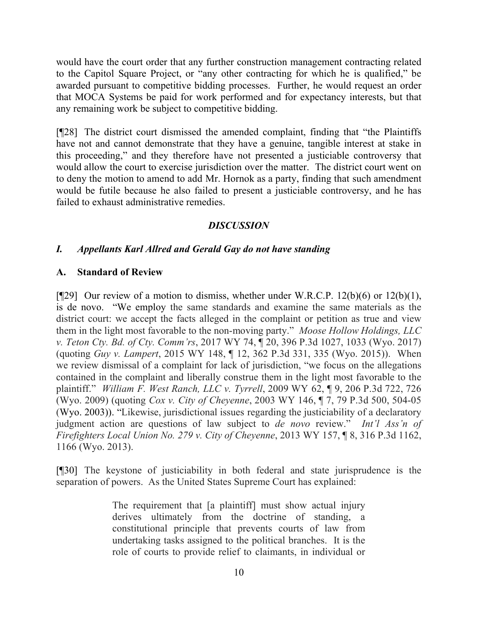would have the court order that any further construction management contracting related to the Capitol Square Project, or "any other contracting for which he is qualified," be awarded pursuant to competitive bidding processes. Further, he would request an order that MOCA Systems be paid for work performed and for expectancy interests, but that any remaining work be subject to competitive bidding.

[¶28] The district court dismissed the amended complaint, finding that "the Plaintiffs have not and cannot demonstrate that they have a genuine, tangible interest at stake in this proceeding," and they therefore have not presented a justiciable controversy that would allow the court to exercise jurisdiction over the matter. The district court went on to deny the motion to amend to add Mr. Hornok as a party, finding that such amendment would be futile because he also failed to present a justiciable controversy, and he has failed to exhaust administrative remedies.

### *DISCUSSION*

### *I. Appellants Karl Allred and Gerald Gay do not have standing*

### **A. Standard of Review**

[ $[$ [29] Our review of a motion to dismiss, whether under W.R.C.P. 12(b)(6) or 12(b)(1), is de novo. "We employ the same standards and examine the same materials as the district court: we accept the facts alleged in the complaint or petition as true and view them in the light most favorable to the non-moving party." *Moose Hollow Holdings, LLC v. Teton Cty. Bd. of Cty. Comm'rs*, 2017 WY 74, ¶ 20, 396 P.3d 1027, 1033 (Wyo. 2017) (quoting *Guy v. Lampert*, 2015 WY 148, ¶ 12, 362 P.3d 331, 335 (Wyo. 2015)). When we review dismissal of a complaint for lack of jurisdiction, "we focus on the allegations contained in the complaint and liberally construe them in the light most favorable to the plaintiff." *William F. West Ranch, LLC v. Tyrrell*, 2009 WY 62, ¶ 9, 206 P.3d 722, 726 (Wyo. 2009) (quoting *Cox v. City of Cheyenne*, 2003 WY 146, ¶ 7, 79 P.3d 500, 504-05 (Wyo. 2003)). "Likewise, jurisdictional issues regarding the justiciability of a declaratory judgment action are questions of law subject to *de novo* review." *Int'l Ass'n of Firefighters Local Union No. 279 v. City of Cheyenne*, 2013 WY 157, ¶ 8, 316 P.3d 1162, 1166 (Wyo. 2013).

[¶30] The keystone of justiciability in both federal and state jurisprudence is the separation of powers. As the United States Supreme Court has explained:

> The requirement that [a plaintiff] must show actual injury derives ultimately from the doctrine of standing, a constitutional principle that prevents courts of law from undertaking tasks assigned to the political branches. It is the role of courts to provide relief to claimants, in individual or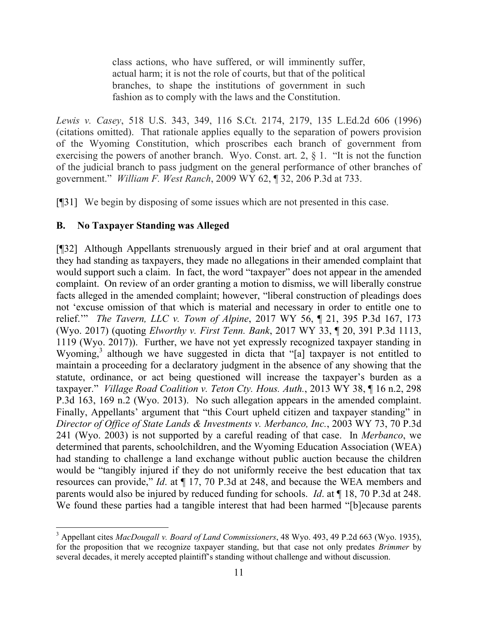class actions, who have suffered, or will imminently suffer, actual harm; it is not the role of courts, but that of the political branches, to shape the institutions of government in such fashion as to comply with the laws and the Constitution.

*Lewis v. Casey*, 518 U.S. 343, 349, 116 S.Ct. 2174, 2179, 135 L.Ed.2d 606 (1996) (citations omitted). That rationale applies equally to the separation of powers provision of the Wyoming Constitution, which proscribes each branch of government from exercising the powers of another branch. Wyo. Const. art. 2, § 1. "It is not the function of the judicial branch to pass judgment on the general performance of other branches of government." *William F. West Ranch*, 2009 WY 62, ¶ 32, 206 P.3d at 733.

[¶31] We begin by disposing of some issues which are not presented in this case.

## **B. No Taxpayer Standing was Alleged**

[¶32] Although Appellants strenuously argued in their brief and at oral argument that they had standing as taxpayers, they made no allegations in their amended complaint that would support such a claim. In fact, the word "taxpayer" does not appear in the amended complaint. On review of an order granting a motion to dismiss, we will liberally construe facts alleged in the amended complaint; however, "liberal construction of pleadings does not 'excuse omission of that which is material and necessary in order to entitle one to relief.'" *The Tavern, LLC v. Town of Alpine*, 2017 WY 56, ¶ 21, 395 P.3d 167, 173 (Wyo. 2017) (quoting *Elworthy v. First Tenn. Bank*, 2017 WY 33, ¶ 20, 391 P.3d 1113, 1119 (Wyo. 2017)). Further, we have not yet expressly recognized taxpayer standing in Wyoming,<sup>3</sup> although we have suggested in dicta that "[a] taxpayer is not entitled to maintain a proceeding for a declaratory judgment in the absence of any showing that the statute, ordinance, or act being questioned will increase the taxpayer's burden as a taxpayer." *Village Road Coalition v. Teton Cty. Hous. Auth.*, 2013 WY 38, ¶ 16 n.2, 298 P.3d 163, 169 n.2 (Wyo. 2013). No such allegation appears in the amended complaint. Finally, Appellants' argument that "this Court upheld citizen and taxpayer standing" in *Director of Office of State Lands & Investments v. Merbanco, Inc.*, 2003 WY 73, 70 P.3d 241 (Wyo. 2003) is not supported by a careful reading of that case. In *Merbanco*, we determined that parents, schoolchildren, and the Wyoming Education Association (WEA) had standing to challenge a land exchange without public auction because the children would be "tangibly injured if they do not uniformly receive the best education that tax resources can provide," *Id*. at ¶ 17, 70 P.3d at 248, and because the WEA members and parents would also be injured by reduced funding for schools. *Id*. at ¶ 18, 70 P.3d at 248. We found these parties had a tangible interest that had been harmed "[b]ecause parents

<sup>3</sup> Appellant cites *MacDougall v. Board of Land Commissioners*, 48 Wyo. 493, 49 P.2d 663 (Wyo. 1935), for the proposition that we recognize taxpayer standing, but that case not only predates *Brimmer* by several decades, it merely accepted plaintiff's standing without challenge and without discussion.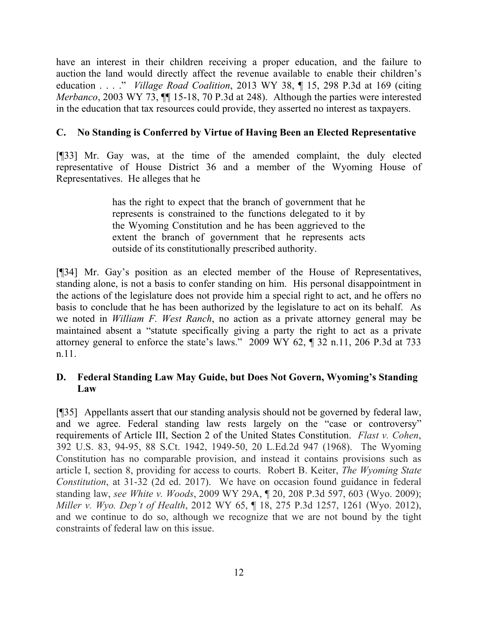have an interest in their children receiving a proper education, and the failure to auction the land would directly affect the revenue available to enable their children's education . . . ." *Village Road Coalition*, 2013 WY 38, ¶ 15, 298 P.3d at 169 (citing *Merbanco*, 2003 WY 73,  $\P$  15-18, 70 P.3d at 248). Although the parties were interested in the education that tax resources could provide, they asserted no interest as taxpayers.

## **C. No Standing is Conferred by Virtue of Having Been an Elected Representative**

[¶33] Mr. Gay was, at the time of the amended complaint, the duly elected representative of House District 36 and a member of the Wyoming House of Representatives. He alleges that he

> has the right to expect that the branch of government that he represents is constrained to the functions delegated to it by the Wyoming Constitution and he has been aggrieved to the extent the branch of government that he represents acts outside of its constitutionally prescribed authority.

[¶34] Mr. Gay's position as an elected member of the House of Representatives, standing alone, is not a basis to confer standing on him. His personal disappointment in the actions of the legislature does not provide him a special right to act, and he offers no basis to conclude that he has been authorized by the legislature to act on its behalf. As we noted in *William F. West Ranch*, no action as a private attorney general may be maintained absent a "statute specifically giving a party the right to act as a private attorney general to enforce the state's laws." 2009 WY 62, ¶ 32 n.11, 206 P.3d at 733 n.11.

## **D. Federal Standing Law May Guide, but Does Not Govern, Wyoming's Standing Law**

[¶35] Appellants assert that our standing analysis should not be governed by federal law, and we agree. Federal standing law rests largely on the "case or controversy" requirements of Article III, Section 2 of the United States Constitution. *Flast v. Cohen*, 392 U.S. 83, 94-95, 88 S.Ct. 1942, 1949-50, 20 L.Ed.2d 947 (1968). The Wyoming Constitution has no comparable provision, and instead it contains provisions such as article I, section 8, providing for access to courts. Robert B. Keiter, *The Wyoming State Constitution*, at 31-32 (2d ed. 2017). We have on occasion found guidance in federal standing law, *see White v. Woods*, 2009 WY 29A, ¶ 20, 208 P.3d 597, 603 (Wyo. 2009); *Miller v. Wyo. Dep't of Health*, 2012 WY 65, ¶ 18, 275 P.3d 1257, 1261 (Wyo. 2012), and we continue to do so, although we recognize that we are not bound by the tight constraints of federal law on this issue.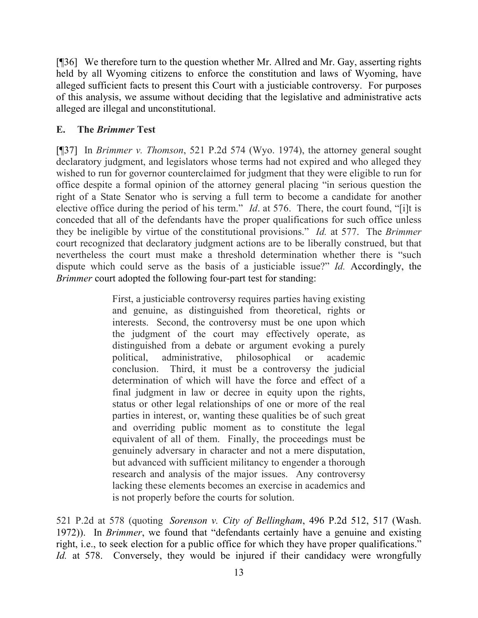[¶36] We therefore turn to the question whether Mr. Allred and Mr. Gay, asserting rights held by all Wyoming citizens to enforce the constitution and laws of Wyoming, have alleged sufficient facts to present this Court with a justiciable controversy. For purposes of this analysis, we assume without deciding that the legislative and administrative acts alleged are illegal and unconstitutional.

### **E. The** *Brimmer* **Test**

[¶37] In *Brimmer v. Thomson*, 521 P.2d 574 (Wyo. 1974), the attorney general sought declaratory judgment, and legislators whose terms had not expired and who alleged they wished to run for governor counterclaimed for judgment that they were eligible to run for office despite a formal opinion of the attorney general placing "in serious question the right of a State Senator who is serving a full term to become a candidate for another elective office during the period of his term." *Id*. at 576. There, the court found, "[i]t is conceded that all of the defendants have the proper qualifications for such office unless they be ineligible by virtue of the constitutional provisions." *Id.* at 577. The *Brimmer* court recognized that declaratory judgment actions are to be liberally construed, but that nevertheless the court must make a threshold determination whether there is "such dispute which could serve as the basis of a justiciable issue?" *Id.* Accordingly, the *Brimmer* court adopted the following four-part test for standing:

> First, a justiciable controversy requires parties having existing and genuine, as distinguished from theoretical, rights or interests. Second, the controversy must be one upon which the judgment of the court may effectively operate, as distinguished from a debate or argument evoking a purely political, administrative, philosophical or academic conclusion. Third, it must be a controversy the judicial determination of which will have the force and effect of a final judgment in law or decree in equity upon the rights, status or other legal relationships of one or more of the real parties in interest, or, wanting these qualities be of such great and overriding public moment as to constitute the legal equivalent of all of them. Finally, the proceedings must be genuinely adversary in character and not a mere disputation, but advanced with sufficient militancy to engender a thorough research and analysis of the major issues. Any controversy lacking these elements becomes an exercise in academics and is not properly before the courts for solution.

521 P.2d at 578 (quoting *Sorenson v. City of Bellingham*, 496 P.2d 512, 517 (Wash. 1972)). In *Brimmer*, we found that "defendants certainly have a genuine and existing right, i.e., to seek election for a public office for which they have proper qualifications." *Id.* at 578. Conversely, they would be injured if their candidacy were wrongfully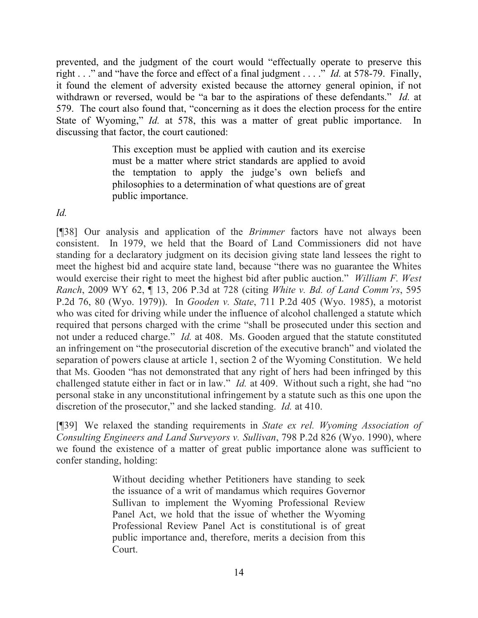prevented, and the judgment of the court would "effectually operate to preserve this right . . ." and "have the force and effect of a final judgment . . . ." *Id.* at 578-79. Finally, it found the element of adversity existed because the attorney general opinion, if not withdrawn or reversed, would be "a bar to the aspirations of these defendants." *Id.* at 579. The court also found that, "concerning as it does the election process for the entire State of Wyoming," *Id.* at 578, this was a matter of great public importance. In discussing that factor, the court cautioned:

> This exception must be applied with caution and its exercise must be a matter where strict standards are applied to avoid the temptation to apply the judge's own beliefs and philosophies to a determination of what questions are of great public importance.

*Id.*

[¶38] Our analysis and application of the *Brimmer* factors have not always been consistent. In 1979, we held that the Board of Land Commissioners did not have standing for a declaratory judgment on its decision giving state land lessees the right to meet the highest bid and acquire state land, because "there was no guarantee the Whites would exercise their right to meet the highest bid after public auction." *William F. West Ranch*, 2009 WY 62, ¶ 13, 206 P.3d at 728 (citing *White v. Bd. of Land Comm'rs*, 595 P.2d 76, 80 (Wyo. 1979)). In *Gooden v. State*, 711 P.2d 405 (Wyo. 1985), a motorist who was cited for driving while under the influence of alcohol challenged a statute which required that persons charged with the crime "shall be prosecuted under this section and not under a reduced charge." *Id.* at 408. Ms. Gooden argued that the statute constituted an infringement on "the prosecutorial discretion of the executive branch" and violated the separation of powers clause at article 1, section 2 of the Wyoming Constitution. We held that Ms. Gooden "has not demonstrated that any right of hers had been infringed by this challenged statute either in fact or in law." *Id.* at 409. Without such a right, she had "no personal stake in any unconstitutional infringement by a statute such as this one upon the discretion of the prosecutor," and she lacked standing. *Id.* at 410.

[¶39] We relaxed the standing requirements in *State ex rel. Wyoming Association of Consulting Engineers and Land Surveyors v. Sullivan*, 798 P.2d 826 (Wyo. 1990), where we found the existence of a matter of great public importance alone was sufficient to confer standing, holding:

> Without deciding whether Petitioners have standing to seek the issuance of a writ of mandamus which requires Governor Sullivan to implement the Wyoming Professional Review Panel Act, we hold that the issue of whether the Wyoming Professional Review Panel Act is constitutional is of great public importance and, therefore, merits a decision from this Court.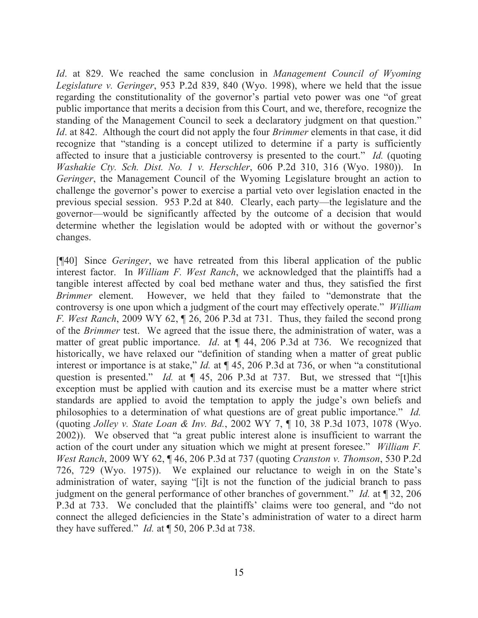*Id*. at 829. We reached the same conclusion in *Management Council of Wyoming Legislature v. Geringer*, 953 P.2d 839, 840 (Wyo. 1998), where we held that the issue regarding the constitutionality of the governor's partial veto power was one "of great public importance that merits a decision from this Court, and we, therefore, recognize the standing of the Management Council to seek a declaratory judgment on that question." *Id*. at 842. Although the court did not apply the four *Brimmer* elements in that case, it did recognize that "standing is a concept utilized to determine if a party is sufficiently affected to insure that a justiciable controversy is presented to the court." *Id.* (quoting *Washakie Cty. Sch. Dist. No. 1 v. Herschler*, 606 P.2d 310, 316 (Wyo. 1980)). In *Geringer*, the Management Council of the Wyoming Legislature brought an action to challenge the governor's power to exercise a partial veto over legislation enacted in the previous special session. 953 P.2d at 840. Clearly, each party—the legislature and the governor—would be significantly affected by the outcome of a decision that would determine whether the legislation would be adopted with or without the governor's changes.

[¶40] Since *Geringer*, we have retreated from this liberal application of the public interest factor. In *William F. West Ranch*, we acknowledged that the plaintiffs had a tangible interest affected by coal bed methane water and thus, they satisfied the first *Brimmer* element. However, we held that they failed to "demonstrate that the controversy is one upon which a judgment of the court may effectively operate." *William F. West Ranch*, 2009 WY 62, ¶ 26, 206 P.3d at 731. Thus, they failed the second prong of the *Brimmer* test. We agreed that the issue there, the administration of water, was a matter of great public importance. *Id*. at ¶ 44, 206 P.3d at 736. We recognized that historically, we have relaxed our "definition of standing when a matter of great public interest or importance is at stake," *Id.* at ¶ 45, 206 P.3d at 736, or when "a constitutional question is presented." *Id.* at  $\P$  45, 206 P.3d at 737. But, we stressed that "[t]his exception must be applied with caution and its exercise must be a matter where strict standards are applied to avoid the temptation to apply the judge's own beliefs and philosophies to a determination of what questions are of great public importance." *Id.* (quoting *Jolley v. State Loan & Inv. Bd.*, 2002 WY 7, ¶ 10, 38 P.3d 1073, 1078 (Wyo. 2002)). We observed that "a great public interest alone is insufficient to warrant the action of the court under any situation which we might at present foresee." *William F. West Ranch*, 2009 WY 62, ¶ 46, 206 P.3d at 737 (quoting *Cranston v. Thomson*, 530 P.2d 726, 729 (Wyo. 1975)). We explained our reluctance to weigh in on the State's administration of water, saying "[i]t is not the function of the judicial branch to pass judgment on the general performance of other branches of government." *Id.* at ¶ 32, 206 P.3d at 733. We concluded that the plaintiffs' claims were too general, and "do not connect the alleged deficiencies in the State's administration of water to a direct harm they have suffered." *Id.* at ¶ 50, 206 P.3d at 738.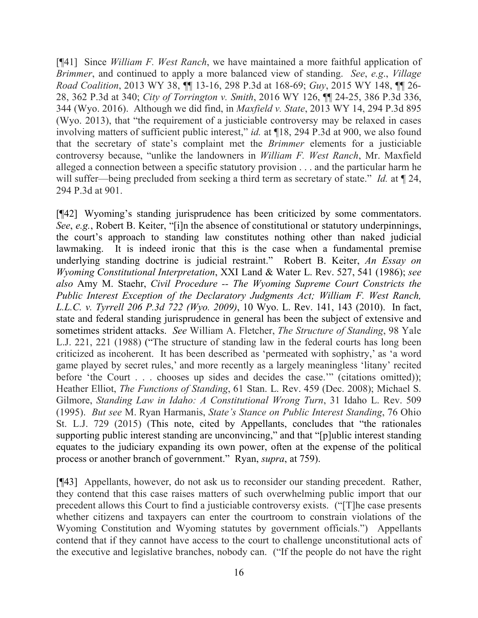[¶41] Since *William F. West Ranch*, we have maintained a more faithful application of *Brimmer*, and continued to apply a more balanced view of standing. *See*, *e.g*., *Village Road Coalition*, 2013 WY 38, ¶¶ 13-16, 298 P.3d at 168-69; *Guy*, 2015 WY 148, ¶¶ 26- 28, 362 P.3d at 340; *City of Torrington v. Smith*, 2016 WY 126, ¶¶ 24-25, 386 P.3d 336, 344 (Wyo. 2016). Although we did find, in *Maxfield v. State*, 2013 WY 14, 294 P.3d 895 (Wyo. 2013), that "the requirement of a justiciable controversy may be relaxed in cases involving matters of sufficient public interest," *id.* at ¶18, 294 P.3d at 900, we also found that the secretary of state's complaint met the *Brimmer* elements for a justiciable controversy because, "unlike the landowners in *William F. West Ranch*, Mr. Maxfield alleged a connection between a specific statutory provision . . . and the particular harm he will suffer—being precluded from seeking a third term as secretary of state." *Id.* at  $\P$  24, 294 P.3d at 901.

[¶42] Wyoming's standing jurisprudence has been criticized by some commentators. *See*, *e.g.*, Robert B. Keiter, "[i]n the absence of constitutional or statutory underpinnings, the court's approach to standing law constitutes nothing other than naked judicial lawmaking. It is indeed ironic that this is the case when a fundamental premise underlying standing doctrine is judicial restraint." Robert B. Keiter, *An Essay on Wyoming Constitutional Interpretation*, XXI Land & Water L. Rev. 527, 541 (1986); *see also* Amy M. Staehr, *Civil Procedure -- The Wyoming Supreme Court Constricts the Public Interest Exception of the Declaratory Judgments Act; William F. West Ranch, L.L.C. v. Tyrrell 206 P.3d 722 (Wyo. 2009)*, 10 Wyo. L. Rev. 141, 143 (2010). In fact, state and federal standing jurisprudence in general has been the subject of extensive and sometimes strident attacks. *See* William A. Fletcher, *The Structure of Standing*, 98 Yale L.J. 221, 221 (1988) ("The structure of standing law in the federal courts has long been criticized as incoherent. It has been described as 'permeated with sophistry,' as 'a word game played by secret rules,' and more recently as a largely meaningless 'litany' recited before 'the Court . . . chooses up sides and decides the case.'" (citations omitted)); Heather Elliot, *The Functions of Standing*, 61 Stan. L. Rev. 459 (Dec. 2008); Michael S. Gilmore, *Standing Law in Idaho: A Constitutional Wrong Turn*, 31 Idaho L. Rev. 509 (1995). *But see* M. Ryan Harmanis, *State's Stance on Public Interest Standing*, 76 Ohio St. L.J. 729 (2015) (This note, cited by Appellants, concludes that "the rationales supporting public interest standing are unconvincing," and that "[p]ublic interest standing equates to the judiciary expanding its own power, often at the expense of the political process or another branch of government." Ryan, *supra*, at 759).

[¶43] Appellants, however, do not ask us to reconsider our standing precedent. Rather, they contend that this case raises matters of such overwhelming public import that our precedent allows this Court to find a justiciable controversy exists. ("[T]he case presents whether citizens and taxpayers can enter the courtroom to constrain violations of the Wyoming Constitution and Wyoming statutes by government officials.") Appellants contend that if they cannot have access to the court to challenge unconstitutional acts of the executive and legislative branches, nobody can. ("If the people do not have the right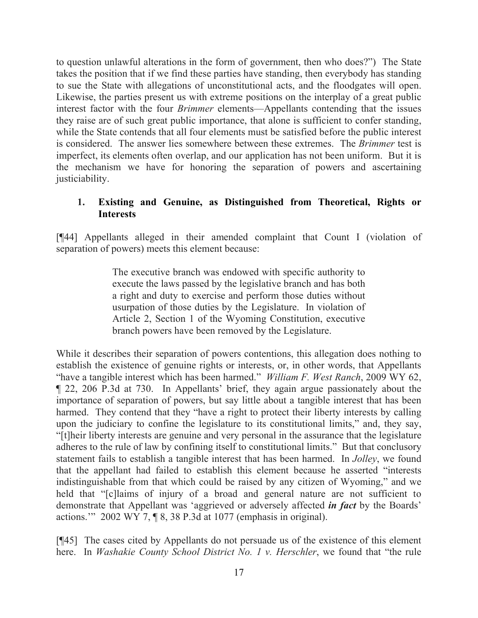to question unlawful alterations in the form of government, then who does?") The State takes the position that if we find these parties have standing, then everybody has standing to sue the State with allegations of unconstitutional acts, and the floodgates will open. Likewise, the parties present us with extreme positions on the interplay of a great public interest factor with the four *Brimmer* elements—Appellants contending that the issues they raise are of such great public importance, that alone is sufficient to confer standing, while the State contends that all four elements must be satisfied before the public interest is considered. The answer lies somewhere between these extremes. The *Brimmer* test is imperfect, its elements often overlap, and our application has not been uniform. But it is the mechanism we have for honoring the separation of powers and ascertaining justiciability.

### **1. Existing and Genuine, as Distinguished from Theoretical, Rights or Interests**

[¶44] Appellants alleged in their amended complaint that Count I (violation of separation of powers) meets this element because:

> The executive branch was endowed with specific authority to execute the laws passed by the legislative branch and has both a right and duty to exercise and perform those duties without usurpation of those duties by the Legislature. In violation of Article 2, Section 1 of the Wyoming Constitution, executive branch powers have been removed by the Legislature.

While it describes their separation of powers contentions, this allegation does nothing to establish the existence of genuine rights or interests, or, in other words, that Appellants "have a tangible interest which has been harmed." *William F. West Ranch*, 2009 WY 62, ¶ 22, 206 P.3d at 730. In Appellants' brief, they again argue passionately about the importance of separation of powers, but say little about a tangible interest that has been harmed. They contend that they "have a right to protect their liberty interests by calling upon the judiciary to confine the legislature to its constitutional limits," and, they say, "[t]heir liberty interests are genuine and very personal in the assurance that the legislature adheres to the rule of law by confining itself to constitutional limits." But that conclusory statement fails to establish a tangible interest that has been harmed. In *Jolley*, we found that the appellant had failed to establish this element because he asserted "interests indistinguishable from that which could be raised by any citizen of Wyoming," and we held that "[c]laims of injury of a broad and general nature are not sufficient to demonstrate that Appellant was 'aggrieved or adversely affected *in fact* by the Boards' actions.'" 2002 WY 7, ¶ 8, 38 P.3d at 1077 (emphasis in original).

[¶45] The cases cited by Appellants do not persuade us of the existence of this element here. In *Washakie County School District No. 1 v. Herschler*, we found that "the rule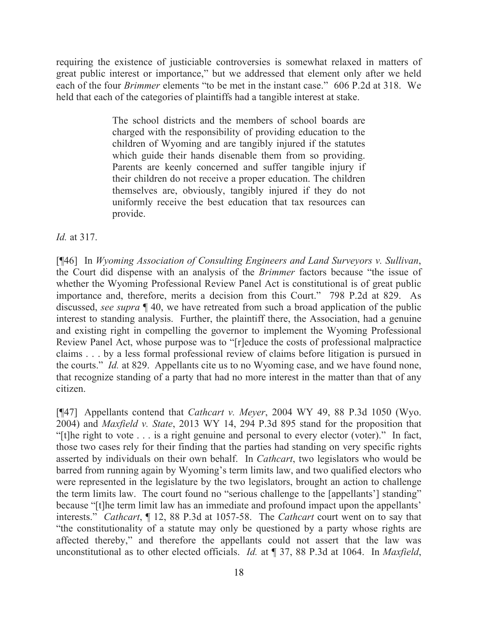requiring the existence of justiciable controversies is somewhat relaxed in matters of great public interest or importance," but we addressed that element only after we held each of the four *Brimmer* elements "to be met in the instant case." 606 P.2d at 318. We held that each of the categories of plaintiffs had a tangible interest at stake.

> The school districts and the members of school boards are charged with the responsibility of providing education to the children of Wyoming and are tangibly injured if the statutes which guide their hands disenable them from so providing. Parents are keenly concerned and suffer tangible injury if their children do not receive a proper education. The children themselves are, obviously, tangibly injured if they do not uniformly receive the best education that tax resources can provide.

*Id.* at 317.

[¶46] In *Wyoming Association of Consulting Engineers and Land Surveyors v. Sullivan*, the Court did dispense with an analysis of the *Brimmer* factors because "the issue of whether the Wyoming Professional Review Panel Act is constitutional is of great public importance and, therefore, merits a decision from this Court." 798 P.2d at 829. As discussed, *see supra* ¶ 40, we have retreated from such a broad application of the public interest to standing analysis. Further, the plaintiff there, the Association, had a genuine and existing right in compelling the governor to implement the Wyoming Professional Review Panel Act, whose purpose was to "[r]educe the costs of professional malpractice claims . . . by a less formal professional review of claims before litigation is pursued in the courts." *Id.* at 829. Appellants cite us to no Wyoming case, and we have found none, that recognize standing of a party that had no more interest in the matter than that of any citizen.

[¶47] Appellants contend that *Cathcart v. Meyer*, 2004 WY 49, 88 P.3d 1050 (Wyo. 2004) and *Maxfield v. State*, 2013 WY 14, 294 P.3d 895 stand for the proposition that "[t]he right to vote . . . is a right genuine and personal to every elector (voter)." In fact, those two cases rely for their finding that the parties had standing on very specific rights asserted by individuals on their own behalf. In *Cathcart*, two legislators who would be barred from running again by Wyoming's term limits law, and two qualified electors who were represented in the legislature by the two legislators, brought an action to challenge the term limits law. The court found no "serious challenge to the [appellants'] standing" because "[t]he term limit law has an immediate and profound impact upon the appellants' interests." *Cathcart*, ¶ 12, 88 P.3d at 1057-58. The *Cathcart* court went on to say that "the constitutionality of a statute may only be questioned by a party whose rights are affected thereby," and therefore the appellants could not assert that the law was unconstitutional as to other elected officials. *Id.* at ¶ 37, 88 P.3d at 1064. In *Maxfield*,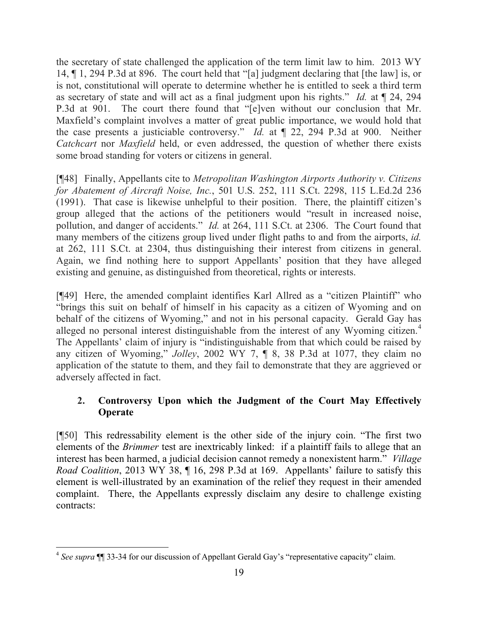the secretary of state challenged the application of the term limit law to him. 2013 WY 14, ¶ 1, 294 P.3d at 896. The court held that "[a] judgment declaring that [the law] is, or is not, constitutional will operate to determine whether he is entitled to seek a third term as secretary of state and will act as a final judgment upon his rights." *Id.* at ¶ 24, 294 P.3d at 901. The court there found that "[e]ven without our conclusion that Mr. Maxfield's complaint involves a matter of great public importance, we would hold that the case presents a justiciable controversy." *Id.* at ¶ 22, 294 P.3d at 900. Neither *Catchcart* nor *Maxfield* held, or even addressed, the question of whether there exists some broad standing for voters or citizens in general.

[¶48] Finally, Appellants cite to *Metropolitan Washington Airports Authority v. Citizens for Abatement of Aircraft Noise, Inc.*, 501 U.S. 252, 111 S.Ct. 2298, 115 L.Ed.2d 236 (1991). That case is likewise unhelpful to their position. There, the plaintiff citizen's group alleged that the actions of the petitioners would "result in increased noise, pollution, and danger of accidents." *Id.* at 264, 111 S.Ct. at 2306. The Court found that many members of the citizens group lived under flight paths to and from the airports, *id.* at 262, 111 S.Ct. at 2304, thus distinguishing their interest from citizens in general. Again, we find nothing here to support Appellants' position that they have alleged existing and genuine, as distinguished from theoretical, rights or interests.

[¶49] Here, the amended complaint identifies Karl Allred as a "citizen Plaintiff" who "brings this suit on behalf of himself in his capacity as a citizen of Wyoming and on behalf of the citizens of Wyoming," and not in his personal capacity. Gerald Gay has alleged no personal interest distinguishable from the interest of any Wyoming citizen.<sup>4</sup> The Appellants' claim of injury is "indistinguishable from that which could be raised by any citizen of Wyoming," *Jolley*, 2002 WY 7, ¶ 8, 38 P.3d at 1077, they claim no application of the statute to them, and they fail to demonstrate that they are aggrieved or adversely affected in fact.

# **2. Controversy Upon which the Judgment of the Court May Effectively Operate**

[¶50] This redressability element is the other side of the injury coin. "The first two elements of the *Brimmer* test are inextricably linked: if a plaintiff fails to allege that an interest has been harmed, a judicial decision cannot remedy a nonexistent harm." *Village Road Coalition*, 2013 WY 38, ¶ 16, 298 P.3d at 169. Appellants' failure to satisfy this element is well-illustrated by an examination of the relief they request in their amended complaint. There, the Appellants expressly disclaim any desire to challenge existing contracts:

 4 *See supra* ¶¶ 33-34 for our discussion of Appellant Gerald Gay's "representative capacity" claim.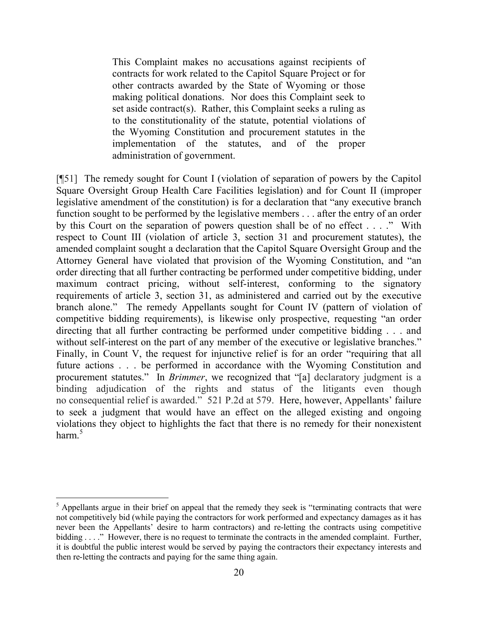This Complaint makes no accusations against recipients of contracts for work related to the Capitol Square Project or for other contracts awarded by the State of Wyoming or those making political donations. Nor does this Complaint seek to set aside contract(s). Rather, this Complaint seeks a ruling as to the constitutionality of the statute, potential violations of the Wyoming Constitution and procurement statutes in the implementation of the statutes, and of the proper administration of government.

[¶51] The remedy sought for Count I (violation of separation of powers by the Capitol Square Oversight Group Health Care Facilities legislation) and for Count II (improper legislative amendment of the constitution) is for a declaration that "any executive branch function sought to be performed by the legislative members . . . after the entry of an order by this Court on the separation of powers question shall be of no effect . . . ." With respect to Count III (violation of article 3, section 31 and procurement statutes), the amended complaint sought a declaration that the Capitol Square Oversight Group and the Attorney General have violated that provision of the Wyoming Constitution, and "an order directing that all further contracting be performed under competitive bidding, under maximum contract pricing, without self-interest, conforming to the signatory requirements of article 3, section 31, as administered and carried out by the executive branch alone." The remedy Appellants sought for Count IV (pattern of violation of competitive bidding requirements), is likewise only prospective, requesting "an order directing that all further contracting be performed under competitive bidding . . . and without self-interest on the part of any member of the executive or legislative branches." Finally, in Count V, the request for injunctive relief is for an order "requiring that all future actions . . . be performed in accordance with the Wyoming Constitution and procurement statutes." In *Brimmer*, we recognized that "[a] declaratory judgment is a binding adjudication of the rights and status of the litigants even though no consequential relief is awarded." 521 P.2d at 579. Here, however, Appellants' failure to seek a judgment that would have an effect on the alleged existing and ongoing violations they object to highlights the fact that there is no remedy for their nonexistent harm. 5

 $<sup>5</sup>$  Appellants argue in their brief on appeal that the remedy they seek is "terminating contracts that were</sup> not competitively bid (while paying the contractors for work performed and expectancy damages as it has never been the Appellants' desire to harm contractors) and re-letting the contracts using competitive bidding . . . ." However, there is no request to terminate the contracts in the amended complaint. Further, it is doubtful the public interest would be served by paying the contractors their expectancy interests and then re-letting the contracts and paying for the same thing again.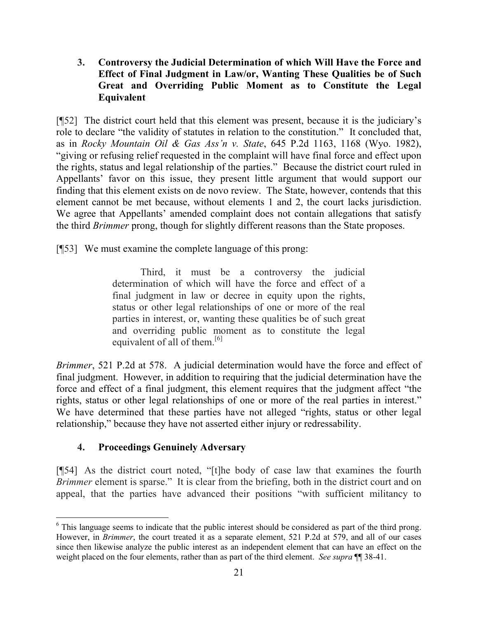## **3. Controversy the Judicial Determination of which Will Have the Force and Effect of Final Judgment in Law/or, Wanting These Qualities be of Such Great and Overriding Public Moment as to Constitute the Legal Equivalent**

[¶52] The district court held that this element was present, because it is the judiciary's role to declare "the validity of statutes in relation to the constitution." It concluded that, as in *Rocky Mountain Oil & Gas Ass'n v. State*, 645 P.2d 1163, 1168 (Wyo. 1982), "giving or refusing relief requested in the complaint will have final force and effect upon the rights, status and legal relationship of the parties." Because the district court ruled in Appellants' favor on this issue, they present little argument that would support our finding that this element exists on de novo review. The State, however, contends that this element cannot be met because, without elements 1 and 2, the court lacks jurisdiction. We agree that Appellants' amended complaint does not contain allegations that satisfy the third *Brimmer* prong, though for slightly different reasons than the State proposes.

[¶53] We must examine the complete language of this prong:

Third, it must be a controversy the judicial determination of which will have the force and effect of a final judgment in law or decree in equity upon the rights, status or other legal relationships of one or more of the real parties in interest, or, wanting these qualities be of such great and overriding public moment as to constitute the legal equivalent of all of them.<sup>[6]</sup>

*Brimmer*, 521 P.2d at 578. A judicial determination would have the force and effect of final judgment. However, in addition to requiring that the judicial determination have the force and effect of a final judgment, this element requires that the judgment affect "the rights, status or other legal relationships of one or more of the real parties in interest." We have determined that these parties have not alleged "rights, status or other legal relationship," because they have not asserted either injury or redressability.

# **4. Proceedings Genuinely Adversary**

[¶54] As the district court noted, "[t]he body of case law that examines the fourth *Brimmer* element is sparse." It is clear from the briefing, both in the district court and on appeal, that the parties have advanced their positions "with sufficient militancy to

<sup>&</sup>lt;sup>6</sup> This language seems to indicate that the public interest should be considered as part of the third prong. However, in *Brimmer*, the court treated it as a separate element, 521 P.2d at 579, and all of our cases since then likewise analyze the public interest as an independent element that can have an effect on the weight placed on the four elements, rather than as part of the third element. *See supra* ¶¶ 38-41.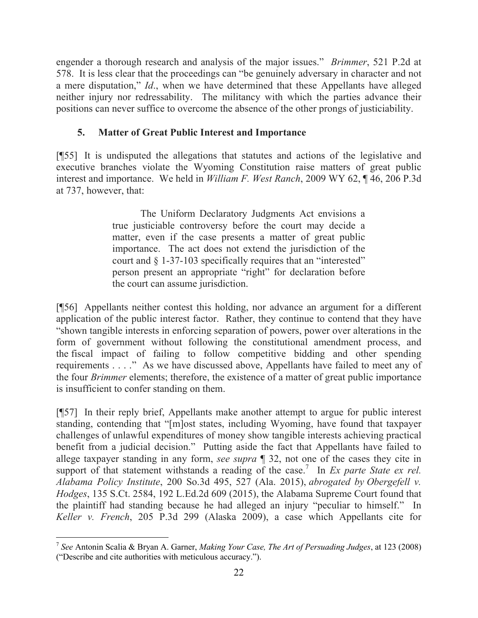engender a thorough research and analysis of the major issues." *Brimmer*, 521 P.2d at 578. It is less clear that the proceedings can "be genuinely adversary in character and not a mere disputation," *Id*., when we have determined that these Appellants have alleged neither injury nor redressability. The militancy with which the parties advance their positions can never suffice to overcome the absence of the other prongs of justiciability.

## **5. Matter of Great Public Interest and Importance**

[¶55] It is undisputed the allegations that statutes and actions of the legislative and executive branches violate the Wyoming Constitution raise matters of great public interest and importance. We held in *William F. West Ranch*, 2009 WY 62, ¶ 46, 206 P.3d at 737, however, that:

> The Uniform Declaratory Judgments Act envisions a true justiciable controversy before the court may decide a matter, even if the case presents a matter of great public importance. The act does not extend the jurisdiction of the court and § 1-37-103 specifically requires that an "interested" person present an appropriate "right" for declaration before the court can assume jurisdiction.

[¶56] Appellants neither contest this holding, nor advance an argument for a different application of the public interest factor. Rather, they continue to contend that they have "shown tangible interests in enforcing separation of powers, power over alterations in the form of government without following the constitutional amendment process, and the fiscal impact of failing to follow competitive bidding and other spending requirements . . . ." As we have discussed above, Appellants have failed to meet any of the four *Brimmer* elements; therefore, the existence of a matter of great public importance is insufficient to confer standing on them.

[¶57] In their reply brief, Appellants make another attempt to argue for public interest standing, contending that "[m]ost states, including Wyoming, have found that taxpayer challenges of unlawful expenditures of money show tangible interests achieving practical benefit from a judicial decision." Putting aside the fact that Appellants have failed to allege taxpayer standing in any form, *see supra* ¶ 32, not one of the cases they cite in support of that statement withstands a reading of the case.<sup>7</sup> In *Ex parte State ex rel. Alabama Policy Institute*, 200 So.3d 495, 527 (Ala. 2015), *abrogated by Obergefell v. Hodges*, 135 S.Ct. 2584, 192 L.Ed.2d 609 (2015), the Alabama Supreme Court found that the plaintiff had standing because he had alleged an injury "peculiar to himself." In *Keller v. French*, 205 P.3d 299 (Alaska 2009), a case which Appellants cite for

<sup>7</sup> *See* Antonin Scalia & Bryan A. Garner, *Making Your Case, The Art of Persuading Judges*, at 123 (2008) ("Describe and cite authorities with meticulous accuracy.").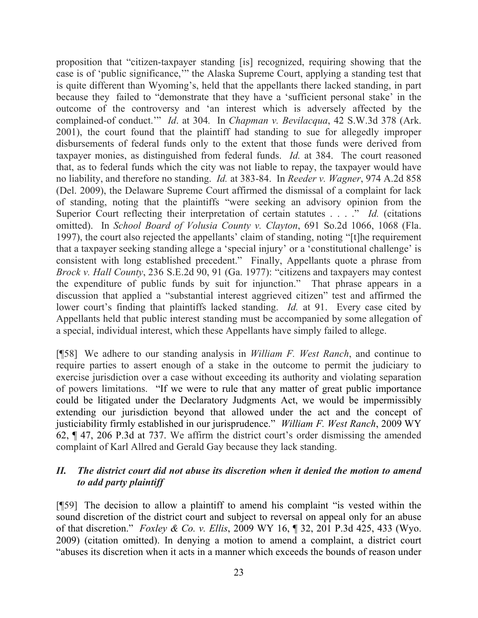proposition that "citizen-taxpayer standing [is] recognized, requiring showing that the case is of 'public significance,'" the Alaska Supreme Court, applying a standing test that is quite different than Wyoming's, held that the appellants there lacked standing, in part because they failed to "demonstrate that they have a 'sufficient personal stake' in the outcome of the controversy and 'an interest which is adversely affected by the complained-of conduct.'" *Id*. at 304*.* In *Chapman v. Bevilacqua*, 42 S.W.3d 378 (Ark. 2001), the court found that the plaintiff had standing to sue for allegedly improper disbursements of federal funds only to the extent that those funds were derived from taxpayer monies, as distinguished from federal funds. *Id.* at 384. The court reasoned that, as to federal funds which the city was not liable to repay, the taxpayer would have no liability, and therefore no standing. *Id.* at 383-84. In *Reeder v. Wagner*, 974 A.2d 858 (Del. 2009), the Delaware Supreme Court affirmed the dismissal of a complaint for lack of standing, noting that the plaintiffs "were seeking an advisory opinion from the Superior Court reflecting their interpretation of certain statutes . . . ." *Id.* (citations omitted). In *School Board of Volusia County v. Clayton*, 691 So.2d 1066, 1068 (Fla. 1997), the court also rejected the appellants' claim of standing, noting "[t]he requirement that a taxpayer seeking standing allege a 'special injury' or a 'constitutional challenge' is consistent with long established precedent." Finally, Appellants quote a phrase from *Brock v. Hall County*, 236 S.E.2d 90, 91 (Ga. 1977): "citizens and taxpayers may contest the expenditure of public funds by suit for injunction." That phrase appears in a discussion that applied a "substantial interest aggrieved citizen" test and affirmed the lower court's finding that plaintiffs lacked standing. *Id.* at 91. Every case cited by Appellants held that public interest standing must be accompanied by some allegation of a special, individual interest, which these Appellants have simply failed to allege.

[¶58] We adhere to our standing analysis in *William F. West Ranch*, and continue to require parties to assert enough of a stake in the outcome to permit the judiciary to exercise jurisdiction over a case without exceeding its authority and violating separation of powers limitations. "If we were to rule that any matter of great public importance could be litigated under the Declaratory Judgments Act, we would be impermissibly extending our jurisdiction beyond that allowed under the act and the concept of justiciability firmly established in our jurisprudence." *William F. West Ranch*, 2009 WY 62, ¶ 47, 206 P.3d at 737. We affirm the district court's order dismissing the amended complaint of Karl Allred and Gerald Gay because they lack standing.

### *II. The district court did not abuse its discretion when it denied the motion to amend to add party plaintiff*

[¶59] The decision to allow a plaintiff to amend his complaint "is vested within the sound discretion of the district court and subject to reversal on appeal only for an abuse of that discretion." *Foxley & Co. v. Ellis*, 2009 WY 16, ¶ 32, 201 P.3d 425, 433 (Wyo. 2009) (citation omitted). In denying a motion to amend a complaint, a district court "abuses its discretion when it acts in a manner which exceeds the bounds of reason under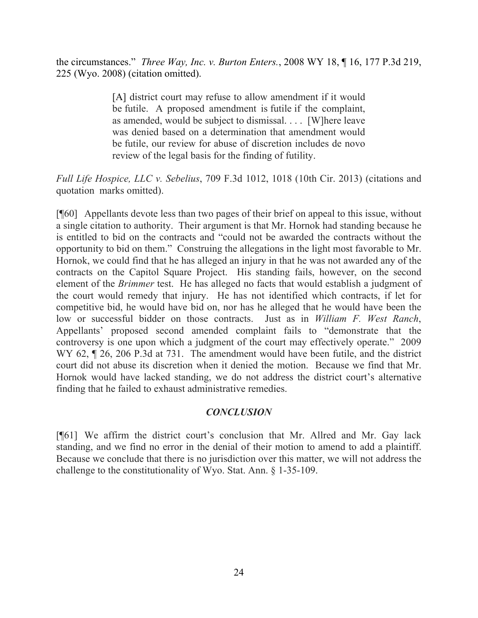the circumstances." *Three Way, Inc. v. Burton Enters.*, 2008 WY 18, ¶ 16, 177 P.3d 219, 225 (Wyo. 2008) (citation omitted).

> [A] district court may refuse to allow amendment if it would be futile. A proposed amendment is futile if the complaint, as amended, would be subject to dismissal. . . . [W]here leave was denied based on a determination that amendment would be futile, our review for abuse of discretion includes de novo review of the legal basis for the finding of futility.

*Full Life Hospice, LLC v. Sebelius*, 709 F.3d 1012, 1018 (10th Cir. 2013) (citations and quotation marks omitted).

[¶60] Appellants devote less than two pages of their brief on appeal to this issue, without a single citation to authority. Their argument is that Mr. Hornok had standing because he is entitled to bid on the contracts and "could not be awarded the contracts without the opportunity to bid on them." Construing the allegations in the light most favorable to Mr. Hornok, we could find that he has alleged an injury in that he was not awarded any of the contracts on the Capitol Square Project. His standing fails, however, on the second element of the *Brimmer* test. He has alleged no facts that would establish a judgment of the court would remedy that injury. He has not identified which contracts, if let for competitive bid, he would have bid on, nor has he alleged that he would have been the low or successful bidder on those contracts. Just as in *William F. West Ranch*, Appellants' proposed second amended complaint fails to "demonstrate that the controversy is one upon which a judgment of the court may effectively operate." 2009 WY 62,  $\parallel$  26, 206 P.3d at 731. The amendment would have been futile, and the district court did not abuse its discretion when it denied the motion. Because we find that Mr. Hornok would have lacked standing, we do not address the district court's alternative finding that he failed to exhaust administrative remedies.

#### *CONCLUSION*

[¶61] We affirm the district court's conclusion that Mr. Allred and Mr. Gay lack standing, and we find no error in the denial of their motion to amend to add a plaintiff. Because we conclude that there is no jurisdiction over this matter, we will not address the challenge to the constitutionality of Wyo. Stat. Ann. § 1-35-109.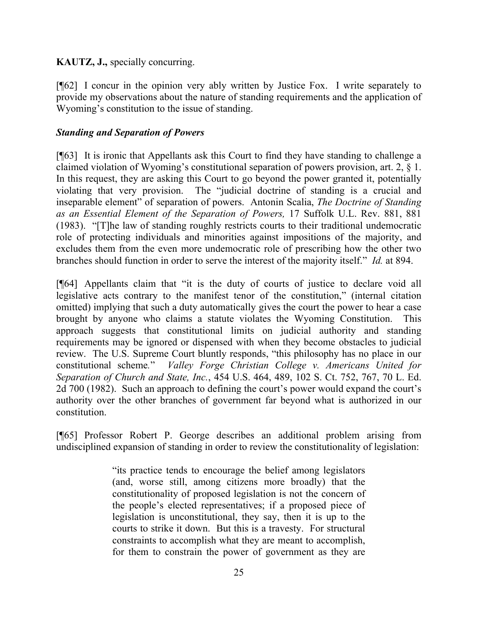### **KAUTZ, J.,** specially concurring.

[¶62] I concur in the opinion very ably written by Justice Fox. I write separately to provide my observations about the nature of standing requirements and the application of Wyoming's constitution to the issue of standing.

### *Standing and Separation of Powers*

[¶63] It is ironic that Appellants ask this Court to find they have standing to challenge a claimed violation of Wyoming's constitutional separation of powers provision, art. 2, § 1. In this request, they are asking this Court to go beyond the power granted it, potentially violating that very provision. The "judicial doctrine of standing is a crucial and inseparable element" of separation of powers. Antonin Scalia, *The Doctrine of Standing as an Essential Element of the Separation of Powers,* 17 Suffolk U.L. Rev. 881, 881 (1983). "[T]he law of standing roughly restricts courts to their traditional undemocratic role of protecting individuals and minorities against impositions of the majority, and excludes them from the even more undemocratic role of prescribing how the other two branches should function in order to serve the interest of the majority itself." *Id.* at 894.

[¶64] Appellants claim that "it is the duty of courts of justice to declare void all legislative acts contrary to the manifest tenor of the constitution," (internal citation omitted) implying that such a duty automatically gives the court the power to hear a case brought by anyone who claims a statute violates the Wyoming Constitution. This approach suggests that constitutional limits on judicial authority and standing requirements may be ignored or dispensed with when they become obstacles to judicial review. The U.S. Supreme Court bluntly responds, "this philosophy has no place in our constitutional scheme*.*" *Valley Forge Christian College v. Americans United for Separation of Church and State, Inc.*, 454 U.S. 464, 489, 102 S. Ct. 752, 767, 70 L. Ed. 2d 700 (1982). Such an approach to defining the court's power would expand the court's authority over the other branches of government far beyond what is authorized in our constitution.

[¶65] Professor Robert P. George describes an additional problem arising from undisciplined expansion of standing in order to review the constitutionality of legislation:

> "its practice tends to encourage the belief among legislators (and, worse still, among citizens more broadly) that the constitutionality of proposed legislation is not the concern of the people's elected representatives; if a proposed piece of legislation is unconstitutional, they say, then it is up to the courts to strike it down. But this is a travesty. For structural constraints to accomplish what they are meant to accomplish, for them to constrain the power of government as they are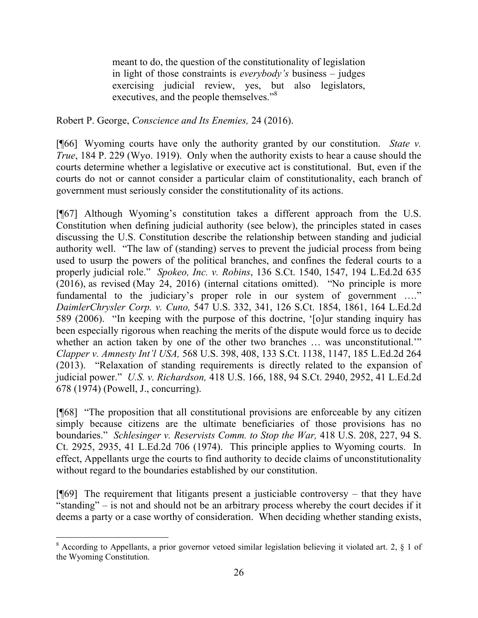meant to do, the question of the constitutionality of legislation in light of those constraints is *everybody's* business – judges exercising judicial review, yes, but also legislators, executives, and the people themselves."<sup>8</sup>

Robert P. George, *Conscience and Its Enemies,* 24 (2016).

[¶66] Wyoming courts have only the authority granted by our constitution. *State v. True*, 184 P. 229 (Wyo. 1919). Only when the authority exists to hear a cause should the courts determine whether a legislative or executive act is constitutional. But, even if the courts do not or cannot consider a particular claim of constitutionality, each branch of government must seriously consider the constitutionality of its actions.

[¶67] Although Wyoming's constitution takes a different approach from the U.S. Constitution when defining judicial authority (see below), the principles stated in cases discussing the U.S. Constitution describe the relationship between standing and judicial authority well. "The law of (standing) serves to prevent the judicial process from being used to usurp the powers of the political branches, and confines the federal courts to a properly judicial role." *Spokeo, Inc. v. Robins*, 136 S.Ct. 1540, 1547, 194 L.Ed.2d 635 (2016), as revised (May 24, 2016) (internal citations omitted). "No principle is more fundamental to the judiciary's proper role in our system of government …." *DaimlerChrysler Corp. v. Cuno,* 547 U.S. 332, 341, 126 S.Ct. 1854, 1861, 164 L.Ed.2d 589 (2006). "In keeping with the purpose of this doctrine, '[o]ur standing inquiry has been especially rigorous when reaching the merits of the dispute would force us to decide whether an action taken by one of the other two branches ... was unconstitutional." *Clapper v. Amnesty Int'l USA,* 568 U.S. 398, 408, 133 S.Ct. 1138, 1147, 185 L.Ed.2d 264 (2013). "Relaxation of standing requirements is directly related to the expansion of judicial power." *U.S. v. Richardson,* 418 U.S. 166, 188, 94 S.Ct. 2940, 2952, 41 L.Ed.2d 678 (1974) (Powell, J., concurring).

[¶68] "The proposition that all constitutional provisions are enforceable by any citizen simply because citizens are the ultimate beneficiaries of those provisions has no boundaries." *Schlesinger v. Reservists Comm. to Stop the War,* 418 U.S. 208, 227, 94 S. Ct. 2925, 2935, 41 L.Ed.2d 706 (1974). This principle applies to Wyoming courts. In effect, Appellants urge the courts to find authority to decide claims of unconstitutionality without regard to the boundaries established by our constitution.

 $[$ **[**[69] The requirement that litigants present a justiciable controversy – that they have "standing" – is not and should not be an arbitrary process whereby the court decides if it deems a party or a case worthy of consideration. When deciding whether standing exists,

<sup>8</sup> According to Appellants, a prior governor vetoed similar legislation believing it violated art. 2, § 1 of the Wyoming Constitution.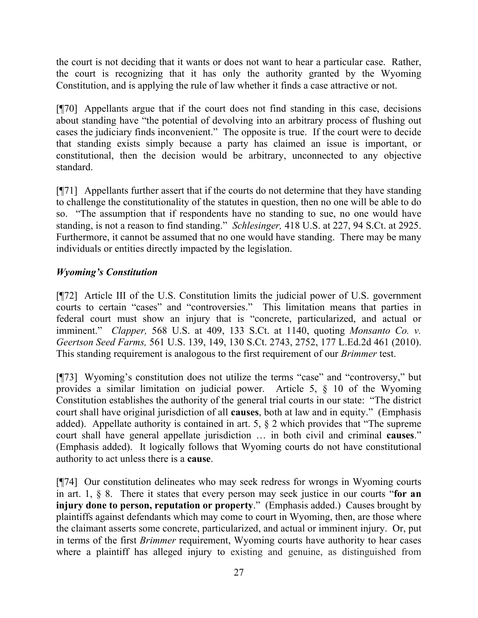the court is not deciding that it wants or does not want to hear a particular case. Rather, the court is recognizing that it has only the authority granted by the Wyoming Constitution, and is applying the rule of law whether it finds a case attractive or not.

[¶70] Appellants argue that if the court does not find standing in this case, decisions about standing have "the potential of devolving into an arbitrary process of flushing out cases the judiciary finds inconvenient." The opposite is true. If the court were to decide that standing exists simply because a party has claimed an issue is important, or constitutional, then the decision would be arbitrary, unconnected to any objective standard.

[¶71] Appellants further assert that if the courts do not determine that they have standing to challenge the constitutionality of the statutes in question, then no one will be able to do so. "The assumption that if respondents have no standing to sue, no one would have standing, is not a reason to find standing." *Schlesinger,* 418 U.S. at 227, 94 S.Ct. at 2925. Furthermore, it cannot be assumed that no one would have standing. There may be many individuals or entities directly impacted by the legislation.

# *Wyoming's Constitution*

[¶72] Article III of the U.S. Constitution limits the judicial power of U.S. government courts to certain "cases" and "controversies." This limitation means that parties in federal court must show an injury that is "concrete, particularized, and actual or imminent." *Clapper,* 568 U.S. at 409, 133 S.Ct. at 1140, quoting *Monsanto Co. v. Geertson Seed Farms,* 561 U.S. 139, 149, 130 S.Ct. 2743, 2752, 177 L.Ed.2d 461 (2010). This standing requirement is analogous to the first requirement of our *Brimmer* test.

[¶73] Wyoming's constitution does not utilize the terms "case" and "controversy," but provides a similar limitation on judicial power. Article 5, § 10 of the Wyoming Constitution establishes the authority of the general trial courts in our state: "The district court shall have original jurisdiction of all **causes**, both at law and in equity." (Emphasis added). Appellate authority is contained in art. 5, § 2 which provides that "The supreme court shall have general appellate jurisdiction … in both civil and criminal **causes**." (Emphasis added). It logically follows that Wyoming courts do not have constitutional authority to act unless there is a **cause**.

[¶74] Our constitution delineates who may seek redress for wrongs in Wyoming courts in art. 1, § 8. There it states that every person may seek justice in our courts "**for an injury done to person, reputation or property**." (Emphasis added.) Causes brought by plaintiffs against defendants which may come to court in Wyoming, then, are those where the claimant asserts some concrete, particularized, and actual or imminent injury. Or, put in terms of the first *Brimmer* requirement, Wyoming courts have authority to hear cases where a plaintiff has alleged injury to existing and genuine, as distinguished from